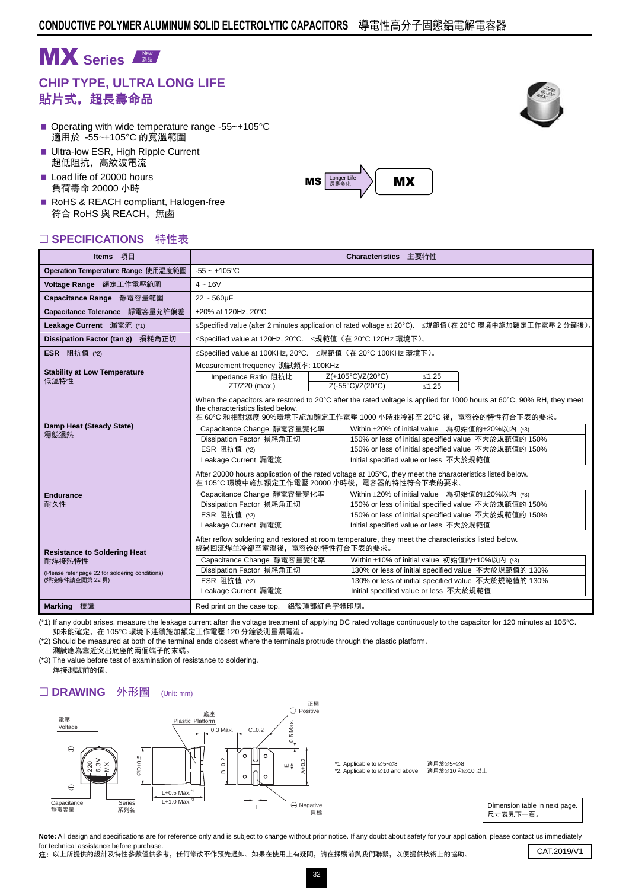# **MX** Series

## **CHIP TYPE, ULTRA LONG LIFE** 貼片式,超長壽命品

- Operating with wide temperature range -55 $\sim$ +105 $\degree$ C 適用於 -55~+105°C 的寬溫範圍
- **Ultra-low ESR, High Ripple Current** 超低阻抗,高紋波電流
- Load life of 20000 hours 負荷壽命 20000 小時
- RoHS & REACH compliant, Halogen-free 符合 RoHS 與 REACH,無鹵

#### □ SPECIFICATIONS 特性表

| Operation Temperature Range 使用温度範圍<br>$-55 - +105$ °C<br>Voltage Range 額定工作電壓範圍<br>$4 - 16V$<br>Capacitance Range 靜電容量範圍<br>$22 - 560 \mu F$<br>Capacitance Tolerance 靜電容量允許偏差<br>±20% at 120Hz. 20°C<br>≤Specified value (after 2 minutes application of rated voltage at 20°C). ≤規範值(在 20°C 環境中施加額定工作電壓 2 分鐘後)。<br>Leakage Current 漏電流 (*1)<br>≤Specified value at 120Hz, 20°C. ≤規範值 (在 20°C 120Hz 環境下)。<br>Dissipation Factor (tan $\delta$ ) 損耗角正切<br>≤Specified value at 100KHz, 20°C. ≤規範值 (在 20°C 100KHz 環境下)。<br><b>ESR</b> 阻抗值 (*2)<br>Measurement frequency 測試頻率: 100KHz<br><b>Stability at Low Temperature</b><br>Z(+105°C)/Z(20°C)<br>Impedance Ratio 阻抗比<br>$≤1.25$<br>低溫特性<br>Z(-55°C)/Z(20°C)<br>ZT/Z20 (max.)<br>< 1.25<br>When the capacitors are restored to 20 $\degree$ C after the rated voltage is applied for 1000 hours at 60 $\degree$ C, 90% RH, they meet<br>the characteristics listed below.<br>在 60℃ 和相對濕度 90%環境下施加額定工作電壓 1000 小時並冷卻至 20℃ 後,電容器的特性符合下表的要求。<br>Damp Heat (Steady State)<br>Within ±20% of initial value 為初始值的±20%以內 (*3)<br>Capacitance Change 靜電容量變化率<br>穩態濕熱<br>Dissipation Factor 損耗角正切<br>150% or less of initial specified value 不大於規範值的 150%<br>ESR 阻抗值 (*2)<br>150% or less of initial specified value 不大於規範值的 150%<br>Leakage Current 漏電流<br>Initial specified value or less 不大於規範值<br>After 20000 hours application of the rated voltage at 105°C, they meet the characteristics listed below.<br>在 105℃ 環境中施加額定工作電壓 20000 小時後, 電容器的特性符合下表的要求。<br>Within ±20% of initial value 為初始值的±20%以內 (*3)<br>Capacitance Change 靜電容量變化率<br><b>Endurance</b><br>Dissipation Factor 損耗角正切<br>耐久性<br>150% or less of initial specified value 不大於規範值的 150%<br>ESR 阻抗值 (*2)<br>150% or less of initial specified value 不大於規範值的 150%<br>Leakage Current 漏電流<br>Initial specified value or less 不大於規範值<br>After reflow soldering and restored at room temperature, they meet the characteristics listed below.<br>經過回流焊並冷卻至室溫後,電容器的特性符合下表的要求。<br><b>Resistance to Soldering Heat</b><br>Within ±10% of initial value 初始值的±10%以内 (*3)<br>Capacitance Change 靜電容量變化率<br>耐焊接熱特性<br>Dissipation Factor 損耗角正切<br>130% or less of initial specified value 不大於規範值的 130%<br>(Please refer page 22 for soldering conditions) | Items 項目      | Characteristics 主要特性                                                 |  |  |  |  |  |  |  |  |
|----------------------------------------------------------------------------------------------------------------------------------------------------------------------------------------------------------------------------------------------------------------------------------------------------------------------------------------------------------------------------------------------------------------------------------------------------------------------------------------------------------------------------------------------------------------------------------------------------------------------------------------------------------------------------------------------------------------------------------------------------------------------------------------------------------------------------------------------------------------------------------------------------------------------------------------------------------------------------------------------------------------------------------------------------------------------------------------------------------------------------------------------------------------------------------------------------------------------------------------------------------------------------------------------------------------------------------------------------------------------------------------------------------------------------------------------------------------------------------------------------------------------------------------------------------------------------------------------------------------------------------------------------------------------------------------------------------------------------------------------------------------------------------------------------------------------------------------------------------------------------------------------------------------------------------------------------------------------------------------------------------------------------------------------------------------------------------------------------------------------------------------------------------------------------------------------------------------------------------------------------------|---------------|----------------------------------------------------------------------|--|--|--|--|--|--|--|--|
|                                                                                                                                                                                                                                                                                                                                                                                                                                                                                                                                                                                                                                                                                                                                                                                                                                                                                                                                                                                                                                                                                                                                                                                                                                                                                                                                                                                                                                                                                                                                                                                                                                                                                                                                                                                                                                                                                                                                                                                                                                                                                                                                                                                                                                                          |               |                                                                      |  |  |  |  |  |  |  |  |
|                                                                                                                                                                                                                                                                                                                                                                                                                                                                                                                                                                                                                                                                                                                                                                                                                                                                                                                                                                                                                                                                                                                                                                                                                                                                                                                                                                                                                                                                                                                                                                                                                                                                                                                                                                                                                                                                                                                                                                                                                                                                                                                                                                                                                                                          |               |                                                                      |  |  |  |  |  |  |  |  |
|                                                                                                                                                                                                                                                                                                                                                                                                                                                                                                                                                                                                                                                                                                                                                                                                                                                                                                                                                                                                                                                                                                                                                                                                                                                                                                                                                                                                                                                                                                                                                                                                                                                                                                                                                                                                                                                                                                                                                                                                                                                                                                                                                                                                                                                          |               |                                                                      |  |  |  |  |  |  |  |  |
|                                                                                                                                                                                                                                                                                                                                                                                                                                                                                                                                                                                                                                                                                                                                                                                                                                                                                                                                                                                                                                                                                                                                                                                                                                                                                                                                                                                                                                                                                                                                                                                                                                                                                                                                                                                                                                                                                                                                                                                                                                                                                                                                                                                                                                                          |               |                                                                      |  |  |  |  |  |  |  |  |
|                                                                                                                                                                                                                                                                                                                                                                                                                                                                                                                                                                                                                                                                                                                                                                                                                                                                                                                                                                                                                                                                                                                                                                                                                                                                                                                                                                                                                                                                                                                                                                                                                                                                                                                                                                                                                                                                                                                                                                                                                                                                                                                                                                                                                                                          |               |                                                                      |  |  |  |  |  |  |  |  |
|                                                                                                                                                                                                                                                                                                                                                                                                                                                                                                                                                                                                                                                                                                                                                                                                                                                                                                                                                                                                                                                                                                                                                                                                                                                                                                                                                                                                                                                                                                                                                                                                                                                                                                                                                                                                                                                                                                                                                                                                                                                                                                                                                                                                                                                          |               |                                                                      |  |  |  |  |  |  |  |  |
|                                                                                                                                                                                                                                                                                                                                                                                                                                                                                                                                                                                                                                                                                                                                                                                                                                                                                                                                                                                                                                                                                                                                                                                                                                                                                                                                                                                                                                                                                                                                                                                                                                                                                                                                                                                                                                                                                                                                                                                                                                                                                                                                                                                                                                                          |               |                                                                      |  |  |  |  |  |  |  |  |
|                                                                                                                                                                                                                                                                                                                                                                                                                                                                                                                                                                                                                                                                                                                                                                                                                                                                                                                                                                                                                                                                                                                                                                                                                                                                                                                                                                                                                                                                                                                                                                                                                                                                                                                                                                                                                                                                                                                                                                                                                                                                                                                                                                                                                                                          |               |                                                                      |  |  |  |  |  |  |  |  |
|                                                                                                                                                                                                                                                                                                                                                                                                                                                                                                                                                                                                                                                                                                                                                                                                                                                                                                                                                                                                                                                                                                                                                                                                                                                                                                                                                                                                                                                                                                                                                                                                                                                                                                                                                                                                                                                                                                                                                                                                                                                                                                                                                                                                                                                          |               |                                                                      |  |  |  |  |  |  |  |  |
|                                                                                                                                                                                                                                                                                                                                                                                                                                                                                                                                                                                                                                                                                                                                                                                                                                                                                                                                                                                                                                                                                                                                                                                                                                                                                                                                                                                                                                                                                                                                                                                                                                                                                                                                                                                                                                                                                                                                                                                                                                                                                                                                                                                                                                                          |               |                                                                      |  |  |  |  |  |  |  |  |
| Leakage Current 漏電流<br>Initial specified value or less 不大於規範值<br><b>Marking</b> 標識<br>Red print on the case top. 鋁殼頂部紅色字體印刷。                                                                                                                                                                                                                                                                                                                                                                                                                                                                                                                                                                                                                                                                                                                                                                                                                                                                                                                                                                                                                                                                                                                                                                                                                                                                                                                                                                                                                                                                                                                                                                                                                                                                                                                                                                                                                                                                                                                                                                                                                                                                                                                             | (焊接條件請查閱第22頁) | ESR 阻抗值 (*2)<br>130% or less of initial specified value 不大於規範值的 130% |  |  |  |  |  |  |  |  |

(\*1) If any doubt arises, measure the leakage current after the voltage treatment of applying DC rated voltage continuously to the capacitor for 120 minutes at 105°C. 如未能確定,在 105℃ 環境下連續施加額定工作電壓 120 分鐘後測量漏電流。

(\*2) Should be measured at both of the terminal ends closest where the terminals protrude through the plastic platform. 測試應為靠近突出底座的兩個端子的末端。

(\*3) The value before test of examination of resistance to soldering. 焊接測試前的值。

#### □ DRAWING 外形圖 (Unit: mm)







Note: All design and specifications are for reference only and is subject to change without prior notice. If any doubt about safety for your application, please contact us immediately for technical assistance before purchase. Tor technical assistance before purchase.<br>2: 以上所提供的設計及特性參數僅供參考,任何修改不作預先通知。如果在使用上有疑問,請在採購前與我們聯繫,以便提供技術上的協助。 CAT.2019/V1